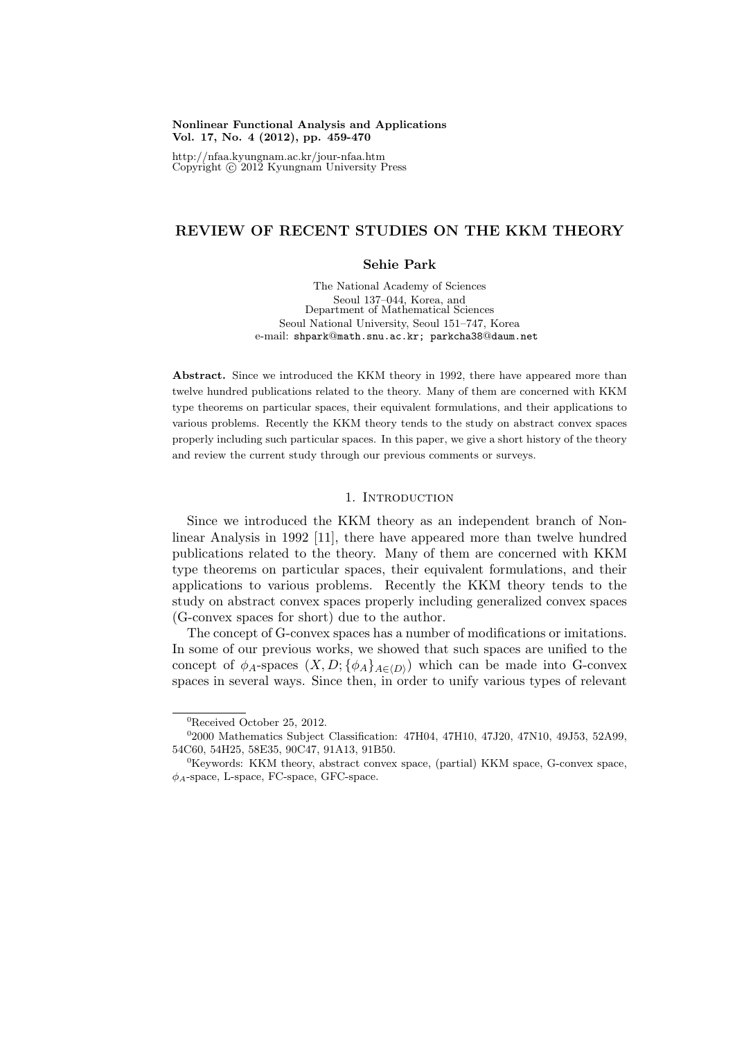### **Nonlinear Functional Analysis and Applications Vol. 17, No. 4 (2012), pp. 459-470**

http://nfaa.kyungnam.ac.kr/jour-nfaa.htm Copyright *⃝*c 2012 Kyungnam University Press

# **REVIEW OF RECENT STUDIES ON THE KKM THEORY**

## **Sehie Park**

The National Academy of Sciences Seoul 137–044, Korea, and Department of Mathematical Sciences Seoul National University, Seoul 151–747, Korea e-mail: shpark@math.snu.ac.kr; parkcha38@daum.net

**Abstract.** Since we introduced the KKM theory in 1992, there have appeared more than twelve hundred publications related to the theory. Many of them are concerned with KKM type theorems on particular spaces, their equivalent formulations, and their applications to various problems. Recently the KKM theory tends to the study on abstract convex spaces properly including such particular spaces. In this paper, we give a short history of the theory and review the current study through our previous comments or surveys.

# 1. INTRODUCTION

Since we introduced the KKM theory as an independent branch of Nonlinear Analysis in 1992 [11], there have appeared more than twelve hundred publications related to the theory. Many of them are concerned with KKM type theorems on particular spaces, their equivalent formulations, and their applications to various problems. Recently the KKM theory tends to the study on abstract convex spaces properly including generalized convex spaces (G-convex spaces for short) due to the author.

The concept of G-convex spaces has a number of modifications or imitations. In some of our previous works, we showed that such spaces are unified to the concept of  $\phi_A$ -spaces  $(X, D; {\phi_A}_{A \in \langle D \rangle})$  which can be made into G-convex spaces in several ways. Since then, in order to unify various types of relevant

<sup>0</sup>Received October 25, 2012.

<sup>&</sup>lt;sup>0</sup>2000 Mathematics Subject Classification: 47H04, 47H10, 47J20, 47N10, 49J53, 52A99, 54C60, 54H25, 58E35, 90C47, 91A13, 91B50.

<sup>&</sup>lt;sup>0</sup>Keywords: KKM theory, abstract convex space, (partial) KKM space, G-convex space, *ϕA*-space, L-space, FC-space, GFC-space.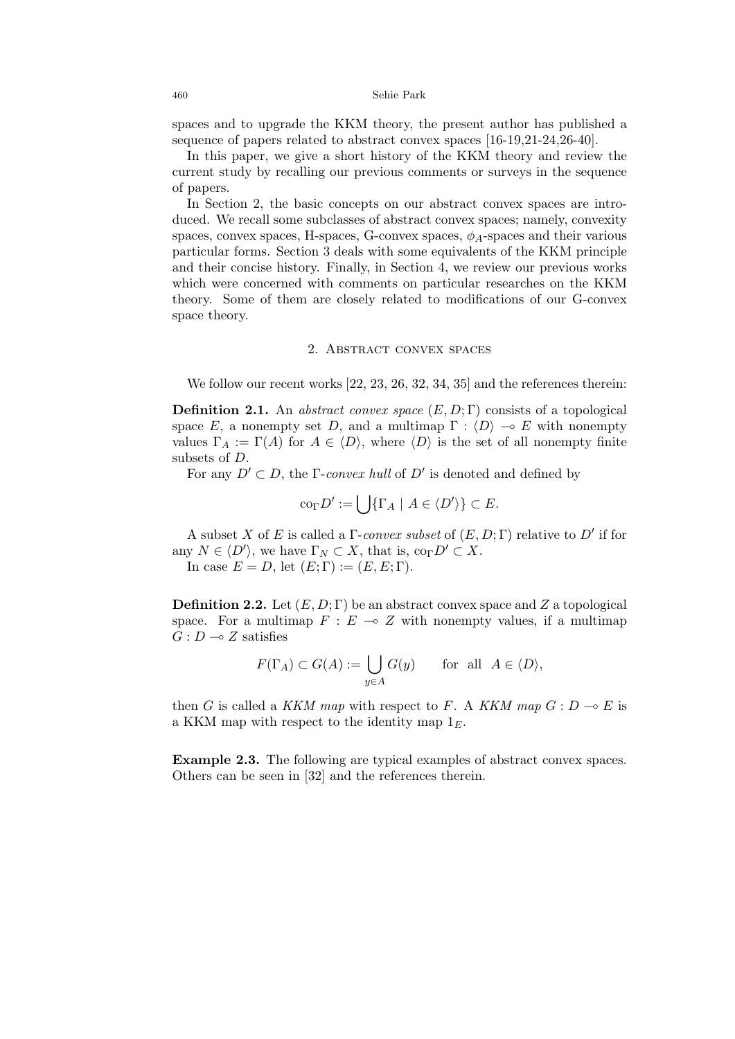spaces and to upgrade the KKM theory, the present author has published a sequence of papers related to abstract convex spaces [16-19,21-24,26-40].

In this paper, we give a short history of the KKM theory and review the current study by recalling our previous comments or surveys in the sequence of papers.

In Section 2, the basic concepts on our abstract convex spaces are introduced. We recall some subclasses of abstract convex spaces; namely, convexity spaces, convex spaces, H-spaces, G-convex spaces,  $\phi_A$ -spaces and their various particular forms. Section 3 deals with some equivalents of the KKM principle and their concise history. Finally, in Section 4, we review our previous works which were concerned with comments on particular researches on the KKM theory. Some of them are closely related to modifications of our G-convex space theory.

### 2. Abstract convex spaces

We follow our recent works [22, 23, 26, 32, 34, 35] and the references therein:

**Definition 2.1.** An *abstract convex space* (*E, D*; Γ) consists of a topological space *E*, a nonempty set *D*, and a multimap  $\Gamma : \langle D \rangle \to E$  with nonempty values  $\Gamma_A := \Gamma(A)$  for  $A \in \langle D \rangle$ , where  $\langle D \rangle$  is the set of all nonempty finite subsets of *D*.

For any  $D' \subset D$ , the  $\Gamma$ -*convex hull* of  $D'$  is denoted and defined by

$$
\operatorname{co}_{\Gamma} D' := \bigcup \{ \Gamma_A \mid A \in \langle D' \rangle \} \subset E.
$$

A subset *X* of *E* is called a Γ-*convex subset* of (*E, D*; Γ) relative to *D′* if for any  $N \in \langle D' \rangle$ , we have  $\Gamma_N \subset X$ , that is,  $\text{co}_{\Gamma} D' \subset X$ .

In case  $E = D$ , let  $(E; \Gamma) := (E, E; \Gamma)$ .

**Definition 2.2.** Let (*E, D*; Γ) be an abstract convex space and *Z* a topological space. For a multimap  $F : E \to Z$  with nonempty values, if a multimap  $G: D \longrightarrow Z$  satisfies

$$
F(\Gamma_A) \subset G(A) := \bigcup_{y \in A} G(y) \quad \text{for all } A \in \langle D \rangle,
$$

then *G* is called a *KKM map* with respect to *F*. A *KKM map*  $G : D \to E$  is a KKM map with respect to the identity map 1*E*.

**Example 2.3.** The following are typical examples of abstract convex spaces. Others can be seen in [32] and the references therein.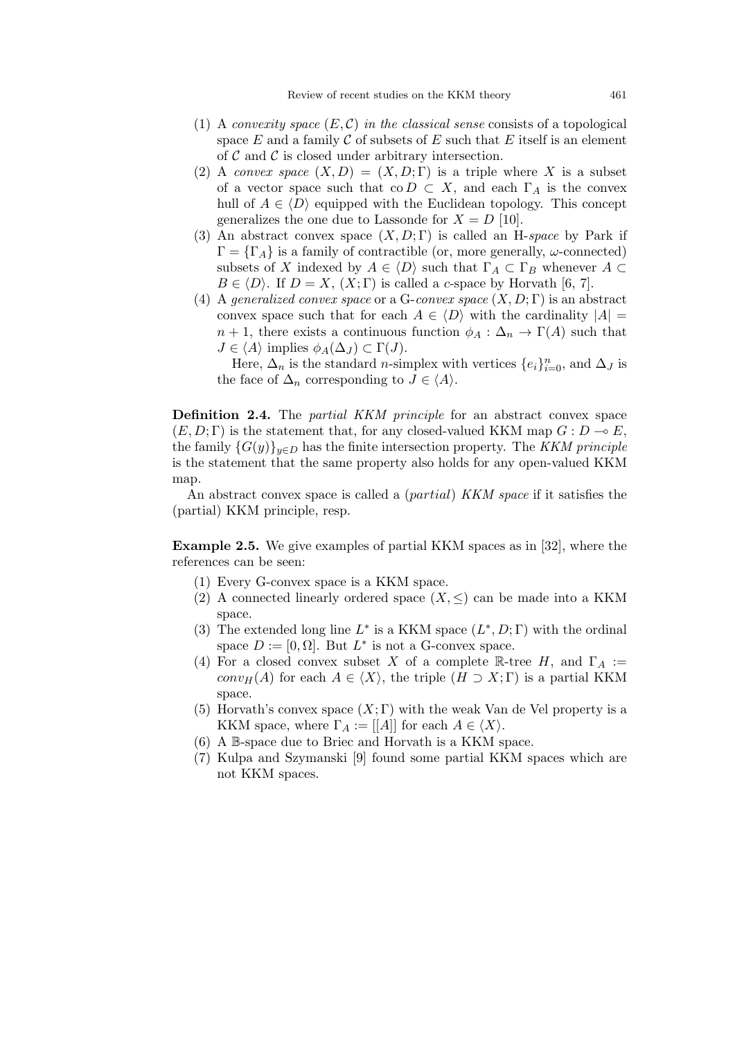- (1) A *convexity space*  $(E, \mathcal{C})$  *in the classical sense* consists of a topological space  $E$  and a family  $C$  of subsets of  $E$  such that  $E$  itself is an element of *C* and *C* is closed under arbitrary intersection.
- (2) A *convex space*  $(X, D) = (X, D; \Gamma)$  is a triple where X is a subset of a vector space such that co  $D \subset X$ , and each  $\Gamma_A$  is the convex hull of  $A \in \langle D \rangle$  equipped with the Euclidean topology. This concept generalizes the one due to Lassonde for  $X = D$  [10].
- (3) An abstract convex space (*X, D*; Γ) is called an H-*space* by Park if  $\Gamma = {\Gamma_A}$  is a family of contractible (or, more generally, *ω*-connected) subsets of *X* indexed by  $A \in \langle D \rangle$  such that  $\Gamma_A \subset \Gamma_B$  whenever  $A \subset$  $B \in \langle D \rangle$ . If  $D = X$ ,  $(X; \Gamma)$  is called a *c*-space by Horvath [6, 7].
- (4) A *generalized convex space* or a G-*convex space* (*X, D*; Γ) is an abstract convex space such that for each  $A \in \langle D \rangle$  with the cardinality  $|A|$  $n+1$ , there exists a continuous function  $\phi_A : \Delta_n \to \Gamma(A)$  such that  $J \in \langle A \rangle$  implies  $\phi_A(\Delta_J) \subset \Gamma(J)$ .

Here,  $\Delta_n$  is the standard *n*-simplex with vertices  $\{e_i\}_{i=0}^n$ , and  $\Delta_j$  is the face of  $\Delta_n$  corresponding to  $J \in \langle A \rangle$ .

**Definition 2.4.** The *partial KKM principle* for an abstract convex space  $(E, D; \Gamma)$  is the statement that, for any closed-valued KKM map  $G: D \to E$ , the family  ${G(y)}_{y\in D}$  has the finite intersection property. The *KKM principle* is the statement that the same property also holds for any open-valued KKM map.

An abstract convex space is called a (*partial*) *KKM space* if it satisfies the (partial) KKM principle, resp.

**Example 2.5.** We give examples of partial KKM spaces as in [32], where the references can be seen:

- (1) Every G-convex space is a KKM space.
- (2) A connected linearly ordered space  $(X, \leq)$  can be made into a KKM space.
- (3) The extended long line  $L^*$  is a KKM space  $(L^*, D; \Gamma)$  with the ordinal space  $D := [0, \Omega]$ . But  $L^*$  is not a G-convex space.
- (4) For a closed convex subset *X* of a complete R-tree *H*, and  $\Gamma_A$  := *conv*<sub>*H*</sub>(*A*) for each  $A \in \langle X \rangle$ , the triple  $(H \supset X; \Gamma)$  is a partial KKM space.
- (5) Horvath's convex space  $(X;\Gamma)$  with the weak Van de Vel property is a KKM space, where  $\Gamma_A := [[A]]$  for each  $A \in \langle X \rangle$ .
- (6) A B-space due to Briec and Horvath is a KKM space.
- (7) Kulpa and Szymanski [9] found some partial KKM spaces which are not KKM spaces.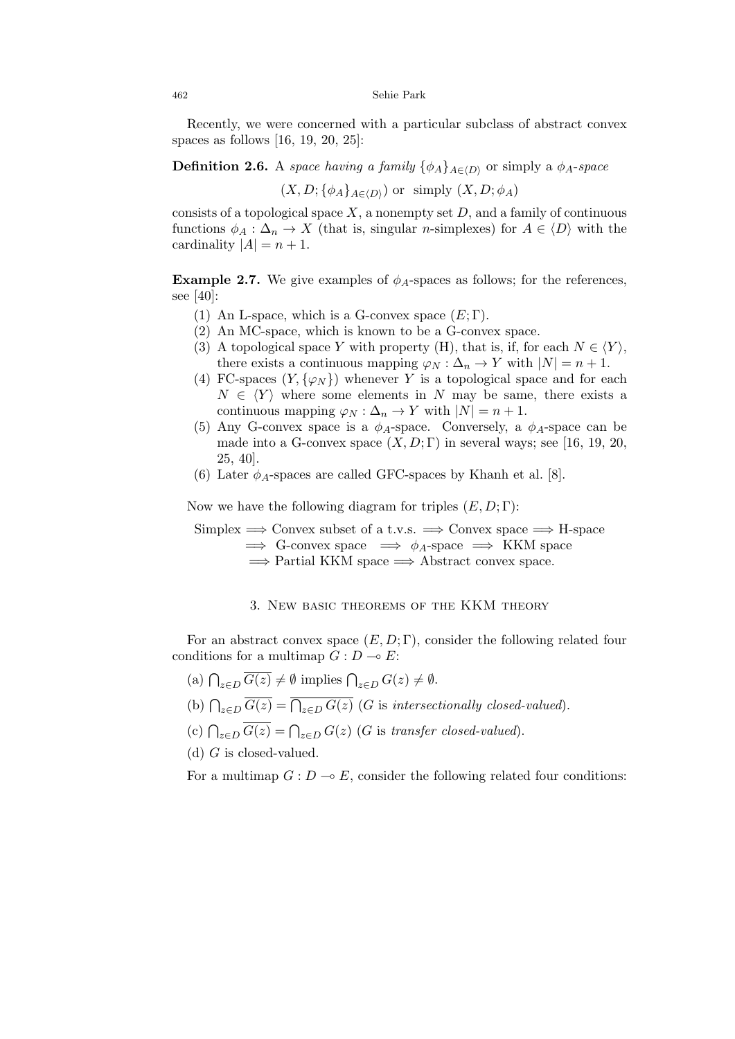Recently, we were concerned with a particular subclass of abstract convex spaces as follows [16, 19, 20, 25]:

**Definition 2.6.** A *space having a family*  $\{\phi_A\}_{A \in (D)}$  or simply a  $\phi_A$ -*space* 

 $(X, D; {\phi_A}_{A \in \langle D \rangle})$  or simply  $(X, D; \phi_A)$ 

consists of a topological space  $X$ , a nonempty set  $D$ , and a family of continuous functions  $\phi_A : \Delta_n \to X$  (that is, singular *n*-simplexes) for  $A \in \langle D \rangle$  with the cardinality  $|A| = n + 1$ .

**Example 2.7.** We give examples of  $\phi_A$ -spaces as follows; for the references, see [40]:

- (1) An L-space, which is a G-convex space  $(E; \Gamma)$ .
- (2) An MC-space, which is known to be a G-convex space.
- (3) A topological space *Y* with property (H), that is, if, for each  $N \in \langle Y \rangle$ , there exists a continuous mapping  $\varphi_N : \Delta_n \to Y$  with  $|N| = n + 1$ .
- (4) FC-spaces  $(Y, \{\varphi_N\})$  whenever *Y* is a topological space and for each  $N \in \langle Y \rangle$  where some elements in *N* may be same, there exists a continuous mapping  $\varphi_N : \Delta_n \to Y$  with  $|N| = n + 1$ .
- (5) Any G-convex space is a  $\phi_A$ -space. Conversely, a  $\phi_A$ -space can be made into a G-convex space  $(X, D; \Gamma)$  in several ways; see [16, 19, 20, 25, 40].
- (6) Later  $\phi_A$ -spaces are called GFC-spaces by Khanh et al. [8].

Now we have the following diagram for triples  $(E, D; \Gamma)$ :

Simplex =*⇒* Convex subset of a t.v.s. =*⇒* Convex space =*⇒* H-space  $\implies$  G-convex space  $\implies \phi_A$ -space  $\implies$  KKM space =*⇒* Partial KKM space =*⇒* Abstract convex space.

### 3. New basic theorems of the KKM theory

For an abstract convex space  $(E, D; \Gamma)$ , consider the following related four conditions for a multimap  $G: D \to E$ :

- $(a) \bigcap_{z \in D} \overline{G(z)} \neq \emptyset$  implies  $\bigcap_{z \in D} G(z) \neq \emptyset$ .
- (b)  $\bigcap_{z \in D} \overline{G(z)} = \overline{\bigcap_{z \in D} G(z)}$  (*G* is *intersectionally closed-valued*).
- (c)  $\bigcap_{z \in D} \overline{G(z)} = \bigcap_{z \in D} G(z)$  (*G* is *transfer closed-valued*).
- (d) *G* is closed-valued.

For a multimap  $G: D \to E$ , consider the following related four conditions: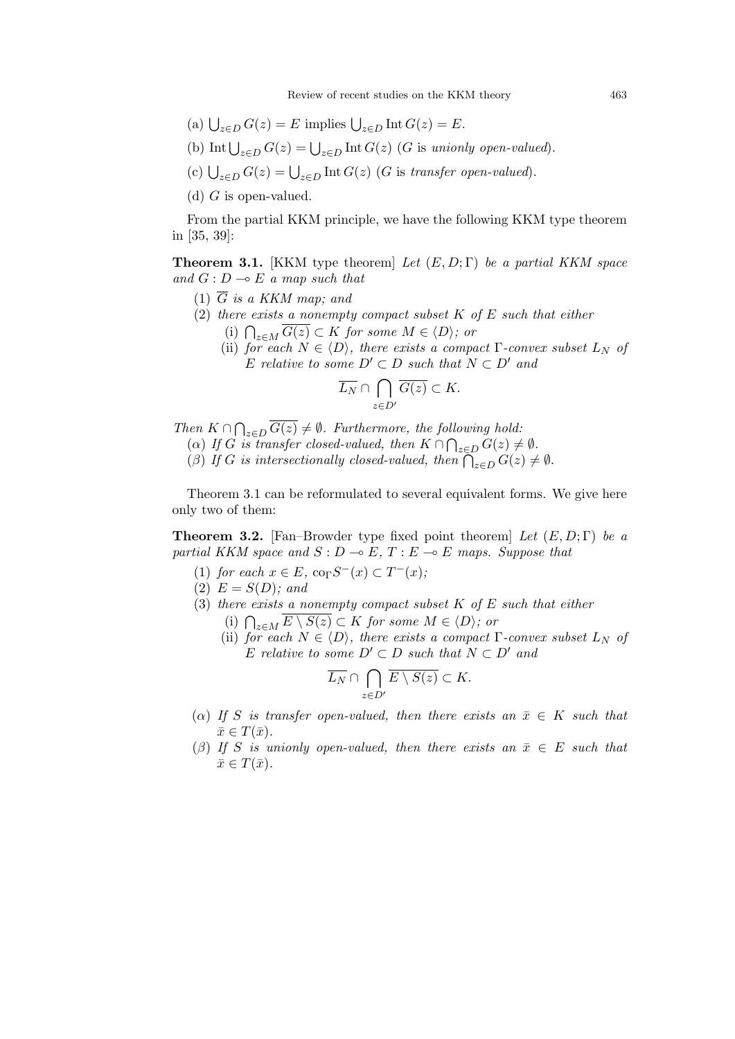- (a)  $\bigcup_{z \in D} G(z) = E$  implies  $\bigcup_{z \in D} \text{Int } G(z) = E$ .
- (b) Int  $\bigcup_{z \in D} G(z) = \bigcup_{z \in D} \text{Int } G(z)$  (*G* is *unionly open-valued*).
- (c)  $\bigcup_{z \in D} G(z) = \bigcup_{z \in D} \text{Int } G(z)$  (*G* is *transfer open-valued*).
- (d) *G* is open-valued.

From the partial KKM principle, we have the following KKM type theorem in [35, 39]:

**Theorem 3.1.** [KKM type theorem] *Let* (*E, D*; Γ) *be a partial KKM space and*  $G: D \to E$  *a map such that* 

- (1) *G is a KKM map; and*
- (2) *there exists a nonempty compact subset K of E such that either* (i)  $\bigcap_{z \in M} \overline{G(z)} \subset K$  *for some*  $M \in \langle D \rangle$ *; or* 
	- (ii) *for each*  $N \in \langle D \rangle$ *, there exists a compact*  $\Gamma$ *-convex subset*  $L_N$  *of E relative to some*  $D' \subset D$  *such that*  $N \subset D'$  *and*

$$
\overline{L_N} \cap \bigcap_{z \in D'} \overline{G(z)} \subset K.
$$

*Then*  $K \cap \bigcap_{z \in D} \overline{G(z)} \neq \emptyset$ . Furthermore, the following hold:

(*a*) *If G is transfer closed-valued, then*  $K \cap \bigcap_{z \in D} G(z) \neq \emptyset$ .

(*β*) If *G* is intersectionally closed-valued, then  $\bigcap_{z\in D} G(z) \neq \emptyset$ .

Theorem 3.1 can be reformulated to several equivalent forms. We give here only two of them:

**Theorem 3.2.** [Fan–Browder type fixed point theorem] *Let* (*E, D*; Γ) *be a partial KKM space and*  $S: D \to E$ ,  $T: E \to E$  *maps. Suppose that* 

- $(1)$  *for each*  $x \in E$ ,  $\text{co}_{\Gamma} S^{-}(x) \subset T^{-}(x)$ ;
- (2)  $E = S(D)$ *;* and
- (3) *there exists a nonempty compact subset K of E such that either*
	- (i)  $\bigcap_{z \in M} \overline{E \setminus S(z)} \subset K$  *for some*  $M \in \langle D \rangle$ *; or*
	- (ii) *for each*  $N \in \langle D \rangle$ *, there exists a compact*  $\Gamma$ *-convex subset*  $L_N$  *of E relative to some*  $D' \subset D$  *such that*  $N \subset D'$  *and*

$$
\overline{L_N}\cap \bigcap_{z\in D'}\overline{E\setminus S(z)}\subset K.
$$

- ( $\alpha$ ) *If S* is transfer open-valued, then there exists an  $\bar{x} \in K$  such that  $\bar{x} \in T(\bar{x})$ .
- ( $\beta$ ) If *S* is unionly open-valued, then there exists an  $\bar{x} \in E$  such that  $\bar{x} \in T(\bar{x})$ .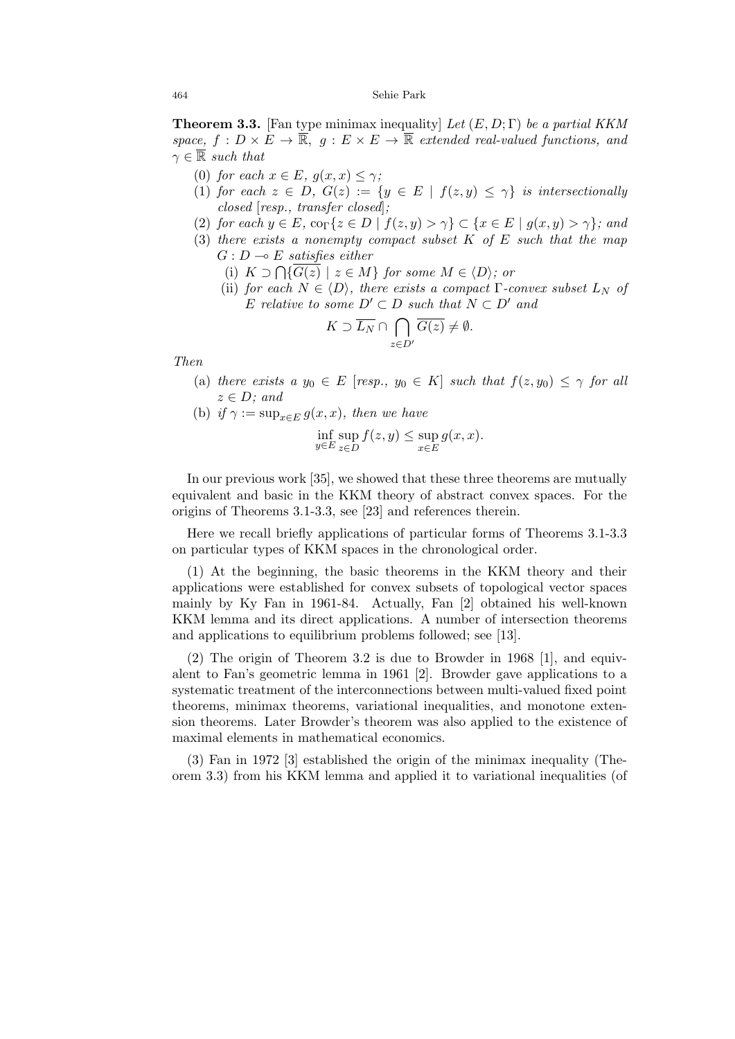**Theorem 3.3.** [Fan type minimax inequality] *Let* (*E, D*; Γ) *be a partial KKM*  $space, f: D \times E \rightarrow \overline{\mathbb{R}}, g: E \times E \rightarrow \overline{\mathbb{R}}$  extended real-valued functions, and  $\gamma \in \overline{\mathbb{R}}$  *such that* 

- (0) *for each*  $x \in E$ *,*  $q(x, x) \leq \gamma$ *;*
- (1) *for each*  $z \in D$ ,  $G(z) := \{y \in E \mid f(z, y) \leq \gamma\}$  *is intersectionally closed* [*resp., transfer closed*]*;*
- (2) for each  $y \in E$ ,  $\text{co}_{\Gamma}\{z \in D \mid f(z,y) > \gamma\} \subset \{x \in E \mid g(x,y) > \gamma\}$ ; and
- (3) *there exists a nonempty compact subset K of E such that the map*  $G: D \longrightarrow E$  *satisfies either* 
	- (i)  $K ⊃ \bigcap \{ \overline{G(z)} \mid z \in M \}$  *for some*  $M \in \langle D \rangle$ *; or*
	- (ii) *for each*  $N \in \langle D \rangle$ *, there exists a compact*  $\Gamma$ *-convex subset*  $L_N$  *of E relative to some*  $D' \subset D$  *such that*  $N \subset D'$  *and*

$$
K\supset \overline{L_N}\cap \bigcap_{z\in D'}\overline{G(z)}\neq \emptyset.
$$

*Then*

- (a) *there exists a*  $y_0 \in E$  [*resp.,*  $y_0 \in K$ ] *such that*  $f(z, y_0) \leq \gamma$  *for all z ∈ D; and*
- (b) *if*  $\gamma := \sup_{x \in E} g(x, x)$ *, then we have*

$$
\inf_{y \in E} \sup_{z \in D} f(z, y) \le \sup_{x \in E} g(x, x).
$$

In our previous work [35], we showed that these three theorems are mutually equivalent and basic in the KKM theory of abstract convex spaces. For the origins of Theorems 3.1-3.3, see [23] and references therein.

Here we recall briefly applications of particular forms of Theorems 3.1-3.3 on particular types of KKM spaces in the chronological order.

(1) At the beginning, the basic theorems in the KKM theory and their applications were established for convex subsets of topological vector spaces mainly by Ky Fan in 1961-84. Actually, Fan [2] obtained his well-known KKM lemma and its direct applications. A number of intersection theorems and applications to equilibrium problems followed; see [13].

(2) The origin of Theorem 3.2 is due to Browder in 1968 [1], and equivalent to Fan's geometric lemma in 1961 [2]. Browder gave applications to a systematic treatment of the interconnections between multi-valued fixed point theorems, minimax theorems, variational inequalities, and monotone extension theorems. Later Browder's theorem was also applied to the existence of maximal elements in mathematical economics.

(3) Fan in 1972 [3] established the origin of the minimax inequality (Theorem 3.3) from his KKM lemma and applied it to variational inequalities (of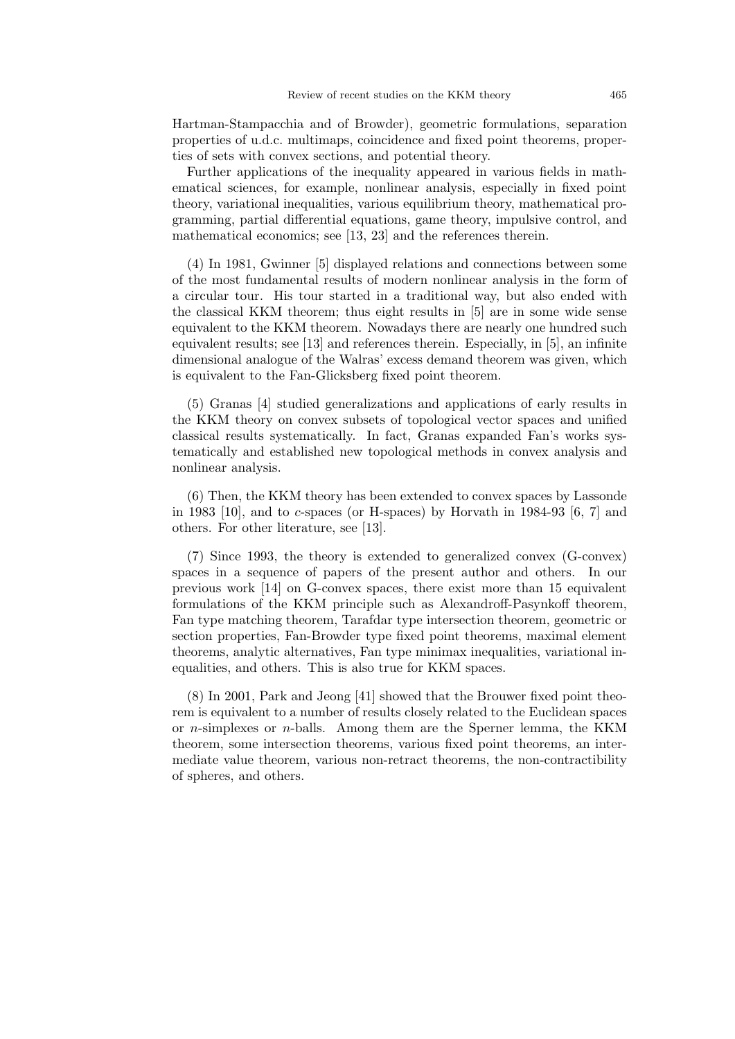Hartman-Stampacchia and of Browder), geometric formulations, separation properties of u.d.c. multimaps, coincidence and fixed point theorems, properties of sets with convex sections, and potential theory.

Further applications of the inequality appeared in various fields in mathematical sciences, for example, nonlinear analysis, especially in fixed point theory, variational inequalities, various equilibrium theory, mathematical programming, partial differential equations, game theory, impulsive control, and mathematical economics; see [13, 23] and the references therein.

(4) In 1981, Gwinner [5] displayed relations and connections between some of the most fundamental results of modern nonlinear analysis in the form of a circular tour. His tour started in a traditional way, but also ended with the classical KKM theorem; thus eight results in [5] are in some wide sense equivalent to the KKM theorem. Nowadays there are nearly one hundred such equivalent results; see [13] and references therein. Especially, in [5], an infinite dimensional analogue of the Walras' excess demand theorem was given, which is equivalent to the Fan-Glicksberg fixed point theorem.

(5) Granas [4] studied generalizations and applications of early results in the KKM theory on convex subsets of topological vector spaces and unified classical results systematically. In fact, Granas expanded Fan's works systematically and established new topological methods in convex analysis and nonlinear analysis.

(6) Then, the KKM theory has been extended to convex spaces by Lassonde in 1983 [10], and to *c*-spaces (or H-spaces) by Horvath in 1984-93 [6, 7] and others. For other literature, see [13].

(7) Since 1993, the theory is extended to generalized convex (G-convex) spaces in a sequence of papers of the present author and others. In our previous work [14] on G-convex spaces, there exist more than 15 equivalent formulations of the KKM principle such as Alexandroff-Pasynkoff theorem, Fan type matching theorem, Tarafdar type intersection theorem, geometric or section properties, Fan-Browder type fixed point theorems, maximal element theorems, analytic alternatives, Fan type minimax inequalities, variational inequalities, and others. This is also true for KKM spaces.

(8) In 2001, Park and Jeong [41] showed that the Brouwer fixed point theorem is equivalent to a number of results closely related to the Euclidean spaces or *n*-simplexes or *n*-balls. Among them are the Sperner lemma, the KKM theorem, some intersection theorems, various fixed point theorems, an intermediate value theorem, various non-retract theorems, the non-contractibility of spheres, and others.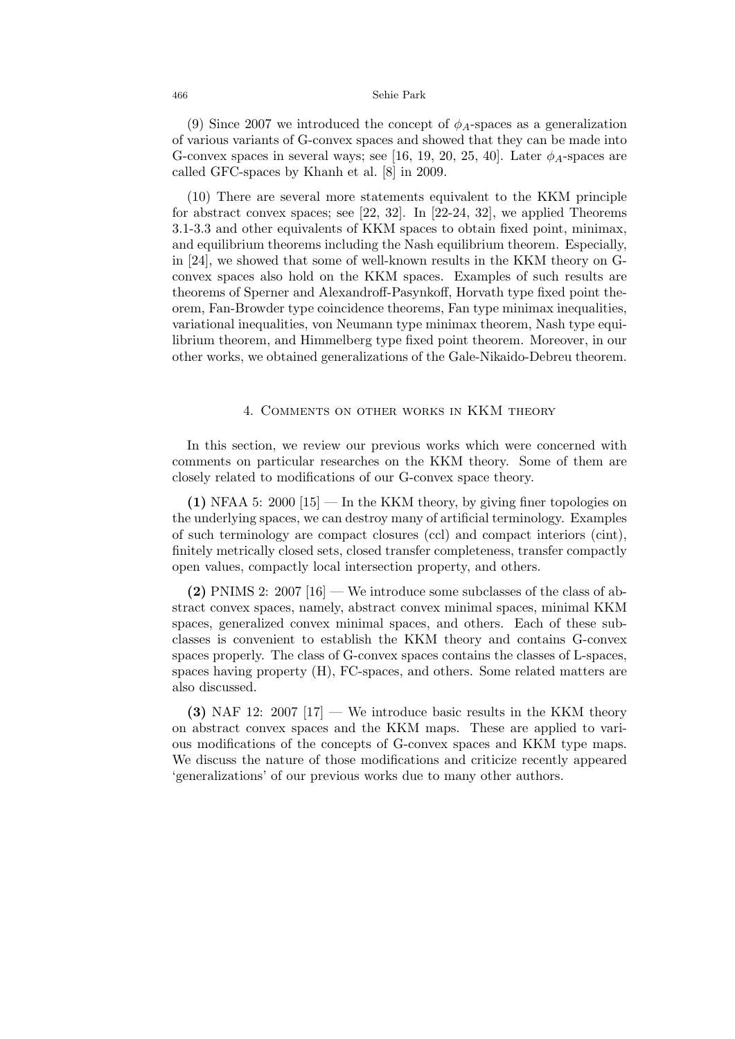(9) Since 2007 we introduced the concept of *ϕA*-spaces as a generalization of various variants of G-convex spaces and showed that they can be made into G-convex spaces in several ways; see [16, 19, 20, 25, 40]. Later  $\phi_A$ -spaces are called GFC-spaces by Khanh et al. [8] in 2009.

(10) There are several more statements equivalent to the KKM principle for abstract convex spaces; see [22, 32]. In [22-24, 32], we applied Theorems 3.1-3.3 and other equivalents of KKM spaces to obtain fixed point, minimax, and equilibrium theorems including the Nash equilibrium theorem. Especially, in [24], we showed that some of well-known results in the KKM theory on Gconvex spaces also hold on the KKM spaces. Examples of such results are theorems of Sperner and Alexandroff-Pasynkoff, Horvath type fixed point theorem, Fan-Browder type coincidence theorems, Fan type minimax inequalities, variational inequalities, von Neumann type minimax theorem, Nash type equilibrium theorem, and Himmelberg type fixed point theorem. Moreover, in our other works, we obtained generalizations of the Gale-Nikaido-Debreu theorem.

### 4. Comments on other works in KKM theory

In this section, we review our previous works which were concerned with comments on particular researches on the KKM theory. Some of them are closely related to modifications of our G-convex space theory.

**(1)** NFAA 5: 2000 [15] — In the KKM theory, by giving finer topologies on the underlying spaces, we can destroy many of artificial terminology. Examples of such terminology are compact closures (ccl) and compact interiors (cint), finitely metrically closed sets, closed transfer completeness, transfer compactly open values, compactly local intersection property, and others.

**(2)** PNIMS 2: 2007  $[16]$  — We introduce some subclasses of the class of abstract convex spaces, namely, abstract convex minimal spaces, minimal KKM spaces, generalized convex minimal spaces, and others. Each of these subclasses is convenient to establish the KKM theory and contains G-convex spaces properly. The class of G-convex spaces contains the classes of L-spaces, spaces having property (H), FC-spaces, and others. Some related matters are also discussed.

**(3)** NAF 12: 2007 [17] — We introduce basic results in the KKM theory on abstract convex spaces and the KKM maps. These are applied to various modifications of the concepts of G-convex spaces and KKM type maps. We discuss the nature of those modifications and criticize recently appeared 'generalizations' of our previous works due to many other authors.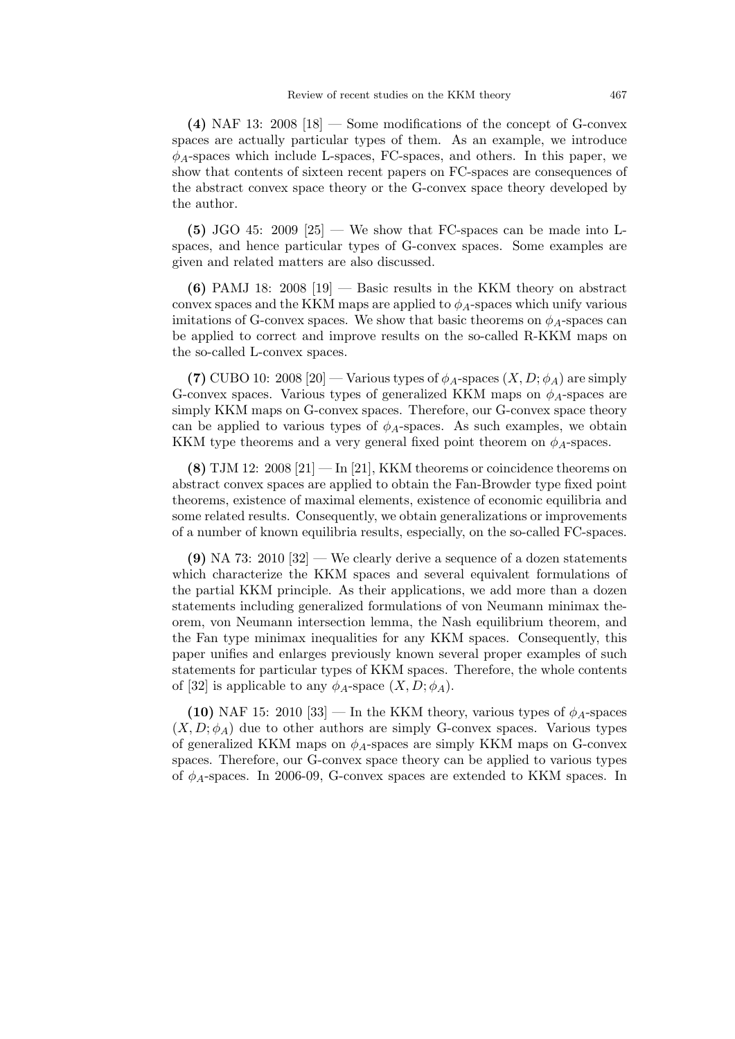**(4)** NAF 13: 2008 [18] — Some modifications of the concept of G-convex spaces are actually particular types of them. As an example, we introduce *ϕA*-spaces which include L-spaces, FC-spaces, and others. In this paper, we show that contents of sixteen recent papers on FC-spaces are consequences of the abstract convex space theory or the G-convex space theory developed by the author.

 $(5)$  JGO 45: 2009 [25] — We show that FC-spaces can be made into Lspaces, and hence particular types of G-convex spaces. Some examples are given and related matters are also discussed.

**(6)** PAMJ 18: 2008 [19] — Basic results in the KKM theory on abstract convex spaces and the KKM maps are applied to  $\phi_A$ -spaces which unify various imitations of G-convex spaces. We show that basic theorems on  $\phi_A$ -spaces can be applied to correct and improve results on the so-called R-KKM maps on the so-called L-convex spaces.

**(7)** CUBO 10: 2008 [20] — Various types of  $\phi_A$ -spaces  $(X, D; \phi_A)$  are simply G-convex spaces. Various types of generalized KKM maps on *ϕA*-spaces are simply KKM maps on G-convex spaces. Therefore, our G-convex space theory can be applied to various types of  $\phi_A$ -spaces. As such examples, we obtain KKM type theorems and a very general fixed point theorem on  $\phi_A$ -spaces.

**(8)** TJM 12: 2008 [21] — In [21], KKM theorems or coincidence theorems on abstract convex spaces are applied to obtain the Fan-Browder type fixed point theorems, existence of maximal elements, existence of economic equilibria and some related results. Consequently, we obtain generalizations or improvements of a number of known equilibria results, especially, on the so-called FC-spaces.

**(9)** NA 73: 2010 [32] — We clearly derive a sequence of a dozen statements which characterize the KKM spaces and several equivalent formulations of the partial KKM principle. As their applications, we add more than a dozen statements including generalized formulations of von Neumann minimax theorem, von Neumann intersection lemma, the Nash equilibrium theorem, and the Fan type minimax inequalities for any KKM spaces. Consequently, this paper unifies and enlarges previously known several proper examples of such statements for particular types of KKM spaces. Therefore, the whole contents of [32] is applicable to any  $\phi_A$ -space  $(X, D; \phi_A)$ .

**(10)** NAF 15: 2010 [33] — In the KKM theory, various types of  $\phi_A$ -spaces  $(X, D; \phi_A)$  due to other authors are simply G-convex spaces. Various types of generalized KKM maps on  $\phi_A$ -spaces are simply KKM maps on G-convex spaces. Therefore, our G-convex space theory can be applied to various types of *ϕA*-spaces. In 2006-09, G-convex spaces are extended to KKM spaces. In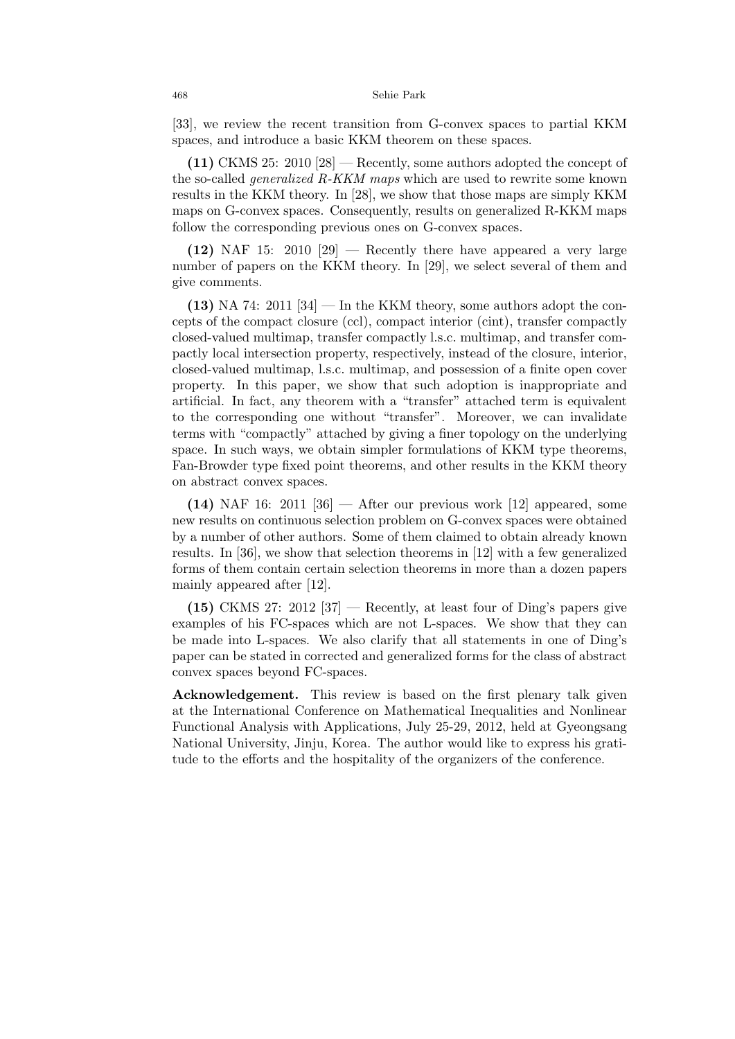[33], we review the recent transition from G-convex spaces to partial KKM spaces, and introduce a basic KKM theorem on these spaces.

**(11)** CKMS 25: 2010 [28] — Recently, some authors adopted the concept of the so-called *generalized R-KKM maps* which are used to rewrite some known results in the KKM theory. In [28], we show that those maps are simply KKM maps on G-convex spaces. Consequently, results on generalized R-KKM maps follow the corresponding previous ones on G-convex spaces.

**(12)** NAF 15: 2010 [29] — Recently there have appeared a very large number of papers on the KKM theory. In [29], we select several of them and give comments.

 $(13)$  NA 74: 2011 [34] — In the KKM theory, some authors adopt the concepts of the compact closure (ccl), compact interior (cint), transfer compactly closed-valued multimap, transfer compactly l.s.c. multimap, and transfer compactly local intersection property, respectively, instead of the closure, interior, closed-valued multimap, l.s.c. multimap, and possession of a finite open cover property. In this paper, we show that such adoption is inappropriate and artificial. In fact, any theorem with a "transfer" attached term is equivalent to the corresponding one without "transfer". Moreover, we can invalidate terms with "compactly" attached by giving a finer topology on the underlying space. In such ways, we obtain simpler formulations of KKM type theorems, Fan-Browder type fixed point theorems, and other results in the KKM theory on abstract convex spaces.

**(14)** NAF 16: 2011 [36] — After our previous work [12] appeared, some new results on continuous selection problem on G-convex spaces were obtained by a number of other authors. Some of them claimed to obtain already known results. In [36], we show that selection theorems in [12] with a few generalized forms of them contain certain selection theorems in more than a dozen papers mainly appeared after [12].

**(15)** CKMS 27: 2012 [37] — Recently, at least four of Ding's papers give examples of his FC-spaces which are not L-spaces. We show that they can be made into L-spaces. We also clarify that all statements in one of Ding's paper can be stated in corrected and generalized forms for the class of abstract convex spaces beyond FC-spaces.

**Acknowledgement.** This review is based on the first plenary talk given at the International Conference on Mathematical Inequalities and Nonlinear Functional Analysis with Applications, July 25-29, 2012, held at Gyeongsang National University, Jinju, Korea. The author would like to express his gratitude to the efforts and the hospitality of the organizers of the conference.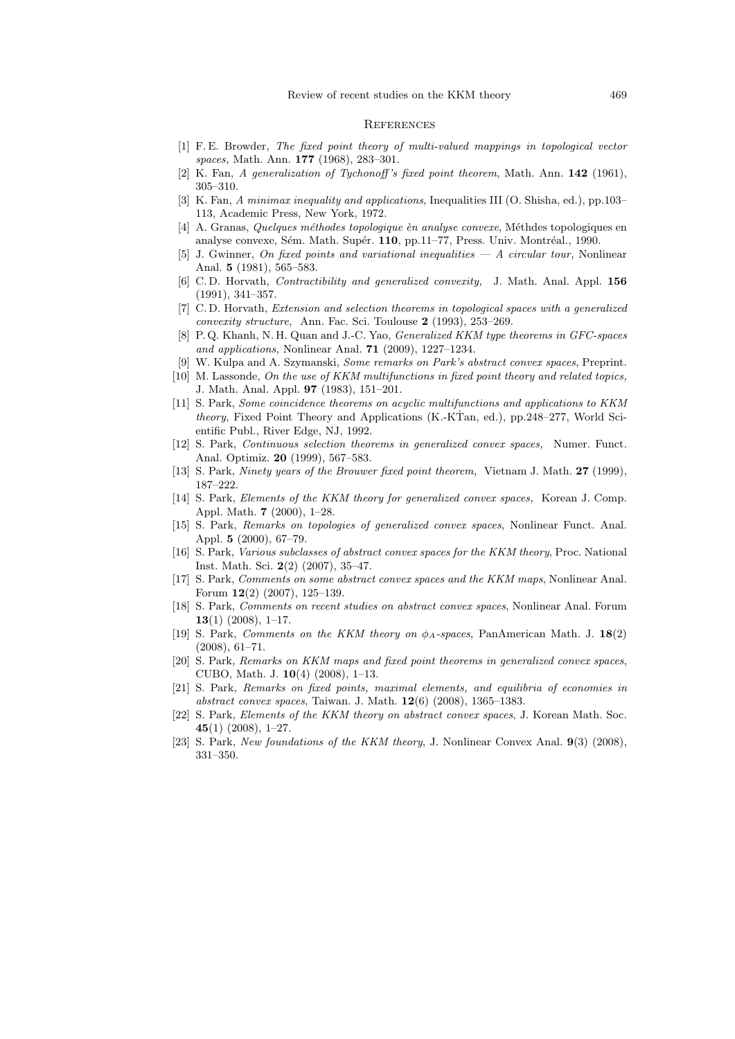#### **REFERENCES**

- [1] F. E. Browder, *The fixed point theory of multi-valued mappings in topological vector spaces,* Math. Ann. **177** (1968), 283–301.
- [2] K. Fan, *A generalization of Tychonoff 's fixed point theorem*, Math. Ann. **142** (1961), 305–310.
- [3] K. Fan, *A minimax inequality and applications*, Inequalities III (O. Shisha, ed.), pp.103– 113, Academic Press, New York, 1972.
- [4] A. Granas, *Quelques méthodes topologique èn analyse convexe*, Méthdes topologiques en analyse convexe, Sém. Math. Supér. **110**, pp.11–77, Press. Univ. Montréal., 1990.
- [5] J. Gwinner, *On fixed points and variational inequalities A circular tour,* Nonlinear Anal. **5** (1981), 565–583.
- [6] C. D. Horvath, *Contractibility and generalized convexity,* J. Math. Anal. Appl. **156** (1991), 341–357.
- [7] C. D. Horvath, *Extension and selection theorems in topological spaces with a generalized convexity structure,* Ann. Fac. Sci. Toulouse **2** (1993), 253–269.
- [8] P. Q. Khanh, N. H. Quan and J.-C. Yao, *Generalized KKM type theorems in GFC-spaces and applications,* Nonlinear Anal. **71** (2009), 1227–1234.
- [9] W. Kulpa and A. Szymanski, *Some remarks on Park's abstract convex spaces*, Preprint.
- [10] M. Lassonde, *On the use of KKM multifunctions in fixed point theory and related topics,* J. Math. Anal. Appl. **97** (1983), 151–201.
- [11] S. Park, *Some coincidence theorems on acyclic multifunctions and applications to KKM theory*, Fixed Point Theory and Applications (K.-KTan, ed.), pp.248–277, World Scientific Publ., River Edge, NJ, 1992.
- [12] S. Park, *Continuous selection theorems in generalized convex spaces,* Numer. Funct. Anal. Optimiz. **20** (1999), 567–583.
- [13] S. Park, *Ninety years of the Brouwer fixed point theorem,* Vietnam J. Math. **27** (1999), 187–222.
- [14] S. Park, *Elements of the KKM theory for generalized convex spaces,* Korean J. Comp. Appl. Math. **7** (2000), 1–28.
- [15] S. Park, *Remarks on topologies of generalized convex spaces*, Nonlinear Funct. Anal. Appl. **5** (2000), 67–79.
- [16] S. Park, *Various subclasses of abstract convex spaces for the KKM theory*, Proc. National Inst. Math. Sci. **2**(2) (2007), 35–47.
- [17] S. Park, *Comments on some abstract convex spaces and the KKM maps*, Nonlinear Anal. Forum **12**(2) (2007), 125–139.
- [18] S. Park, *Comments on recent studies on abstract convex spaces*, Nonlinear Anal. Forum **13**(1) (2008), 1–17.
- [19] S. Park, *Comments on the KKM theory on ϕA-spaces*, PanAmerican Math. J. **18**(2) (2008), 61–71.
- [20] S. Park, *Remarks on KKM maps and fixed point theorems in generalized convex spaces*, CUBO, Math. J. **10**(4) (2008), 1–13.
- [21] S. Park, *Remarks on fixed points, maximal elements, and equilibria of economies in abstract convex spaces*, Taiwan. J. Math. **12**(6) (2008), 1365–1383.
- [22] S. Park, *Elements of the KKM theory on abstract convex spaces*, J. Korean Math. Soc. **45**(1) (2008), 1–27.
- [23] S. Park, *New foundations of the KKM theory*, J. Nonlinear Convex Anal. **9**(3) (2008), 331–350.